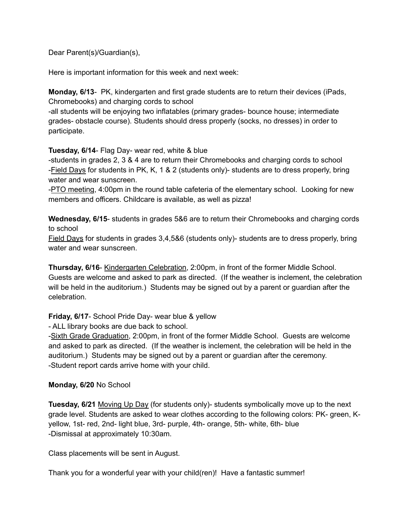Dear Parent(s)/Guardian(s),

Here is important information for this week and next week:

**Monday, 6/13**- PK, kindergarten and first grade students are to return their devices (iPads, Chromebooks) and charging cords to school

-all students will be enjoying two inflatables (primary grades- bounce house; intermediate grades- obstacle course). Students should dress properly (socks, no dresses) in order to participate.

**Tuesday, 6/14**- Flag Day- wear red, white & blue

-students in grades 2, 3 & 4 are to return their Chromebooks and charging cords to school -Field Days for students in PK, K, 1 & 2 (students only)- students are to dress properly, bring water and wear sunscreen.

-PTO meeting, 4:00pm in the round table cafeteria of the elementary school. Looking for new members and officers. Childcare is available, as well as pizza!

**Wednesday, 6/15**- students in grades 5&6 are to return their Chromebooks and charging cords to school

Field Days for students in grades 3,4,5&6 (students only)- students are to dress properly, bring water and wear sunscreen.

**Thursday, 6/16**- Kindergarten Celebration, 2:00pm, in front of the former Middle School. Guests are welcome and asked to park as directed. (If the weather is inclement, the celebration will be held in the auditorium.) Students may be signed out by a parent or guardian after the celebration.

**Friday, 6/17**- School Pride Day- wear blue & yellow

- ALL library books are due back to school.

-Sixth Grade Graduation, 2:00pm, in front of the former Middle School. Guests are welcome and asked to park as directed. (If the weather is inclement, the celebration will be held in the auditorium.) Students may be signed out by a parent or guardian after the ceremony. -Student report cards arrive home with your child.

## **Monday, 6/20** No School

**Tuesday, 6/21** Moving Up Day (for students only)- students symbolically move up to the next grade level. Students are asked to wear clothes according to the following colors: PK- green, Kyellow, 1st- red, 2nd- light blue, 3rd- purple, 4th- orange, 5th- white, 6th- blue -Dismissal at approximately 10:30am.

Class placements will be sent in August.

Thank you for a wonderful year with your child(ren)! Have a fantastic summer!